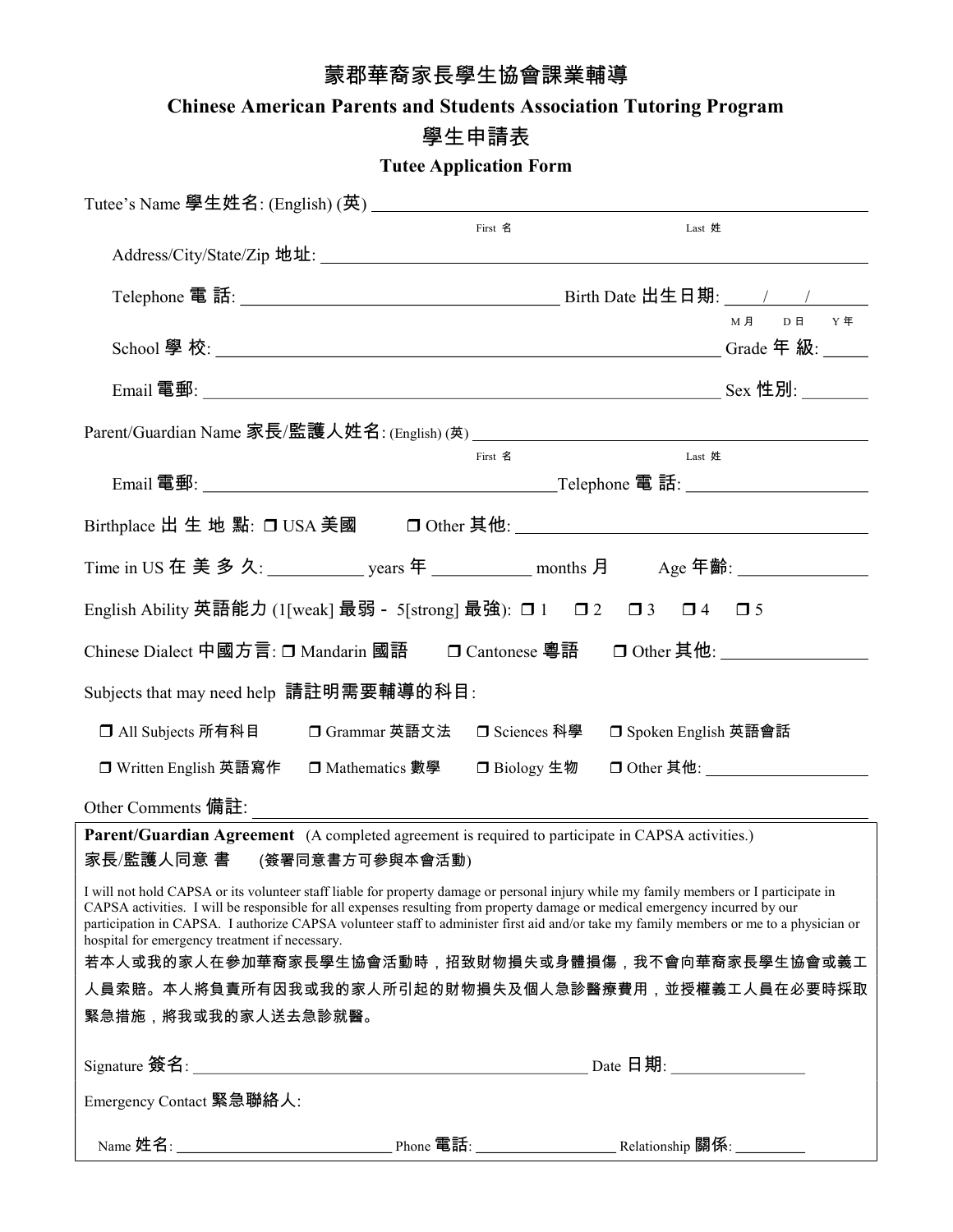## 蒙郡華裔家長學生協會課業輔導

Chinese American Parents and Students Association Tutoring Program

## 學生申請表

Tutee Application Form

|                                                                                                                                                                                                                                                                                                                                                                                                                                                                     | First 名                      | Last 姓                |                              |
|---------------------------------------------------------------------------------------------------------------------------------------------------------------------------------------------------------------------------------------------------------------------------------------------------------------------------------------------------------------------------------------------------------------------------------------------------------------------|------------------------------|-----------------------|------------------------------|
| Address/City/State/Zip 地址: 1997年4月11日 11:00 11:00 12:00 12:00 12:00 12:00 12:00 12:00 12:00 12:00 12:00 12:00 1                                                                                                                                                                                                                                                                                                                                                     |                              |                       |                              |
|                                                                                                                                                                                                                                                                                                                                                                                                                                                                     |                              |                       |                              |
|                                                                                                                                                                                                                                                                                                                                                                                                                                                                     |                              |                       | M月 D日 Y年                     |
|                                                                                                                                                                                                                                                                                                                                                                                                                                                                     |                              |                       |                              |
|                                                                                                                                                                                                                                                                                                                                                                                                                                                                     |                              |                       |                              |
|                                                                                                                                                                                                                                                                                                                                                                                                                                                                     |                              |                       |                              |
|                                                                                                                                                                                                                                                                                                                                                                                                                                                                     | First 名                      | Last 姓                |                              |
|                                                                                                                                                                                                                                                                                                                                                                                                                                                                     |                              |                       |                              |
|                                                                                                                                                                                                                                                                                                                                                                                                                                                                     |                              |                       |                              |
| Time in US 在 美 多 久: ____________ years 年 ____________ months 月    Age 年齡: _____________                                                                                                                                                                                                                                                                                                                                                                             |                              |                       |                              |
| English Ability 英語能力 (1[weak] 最弱 - 5[strong] 最強): ロ1 ロ2 ロ3 ロ4 ロ5                                                                                                                                                                                                                                                                                                                                                                                                    |                              |                       |                              |
| Chinese Dialect 中國方言: □ Mandarin 國語 □ Cantonese 粵語 □ Other 其他: _________________                                                                                                                                                                                                                                                                                                                                                                                    |                              |                       |                              |
| Subjects that may need help 請註明需要輔導的科目:                                                                                                                                                                                                                                                                                                                                                                                                                             |                              |                       |                              |
| □ All Subjects 所有科目                                                                                                                                                                                                                                                                                                                                                                                                                                                 | □ Grammar 英語文法 □ Sciences 科學 | □ Spoken English 英語會話 |                              |
| □ Written English 英語寫作 □ Mathematics 數學 □ Biology 生物                                                                                                                                                                                                                                                                                                                                                                                                                |                              |                       | □ Other 其他: ________________ |
| Other Comments 備註:                                                                                                                                                                                                                                                                                                                                                                                                                                                  |                              |                       |                              |
| Parent/Guardian Agreement (A completed agreement is required to participate in CAPSA activities.)                                                                                                                                                                                                                                                                                                                                                                   |                              |                       |                              |
| 家長/監護人同意 書 (簽署同意書方可參與本會活動)                                                                                                                                                                                                                                                                                                                                                                                                                                          |                              |                       |                              |
| I will not hold CAPSA or its volunteer staff liable for property damage or personal injury while my family members or I participate in<br>CAPSA activities. I will be responsible for all expenses resulting from property damage or medical emergency incurred by our<br>participation in CAPSA. I authorize CAPSA volunteer staff to administer first aid and/or take my family members or me to a physician or<br>hospital for emergency treatment if necessary. |                              |                       |                              |
| 若本人或我的家人在參加華裔家長學生協會活動時,招致財物損失或身體損傷,我不會向華裔家長學生協會或義工                                                                                                                                                                                                                                                                                                                                                                                                                  |                              |                       |                              |
| 人員索賠。本人將負責所有因我或我的家人所引起的財物損失及個人急診醫療費用,並授權義工人員在必要時採取                                                                                                                                                                                                                                                                                                                                                                                                                  |                              |                       |                              |
| 緊急措施,將我或我的家人送去急診就醫。                                                                                                                                                                                                                                                                                                                                                                                                                                                 |                              |                       |                              |
|                                                                                                                                                                                                                                                                                                                                                                                                                                                                     |                              |                       |                              |
| Emergency Contact 緊急聯絡人:                                                                                                                                                                                                                                                                                                                                                                                                                                            |                              |                       |                              |
|                                                                                                                                                                                                                                                                                                                                                                                                                                                                     |                              |                       |                              |